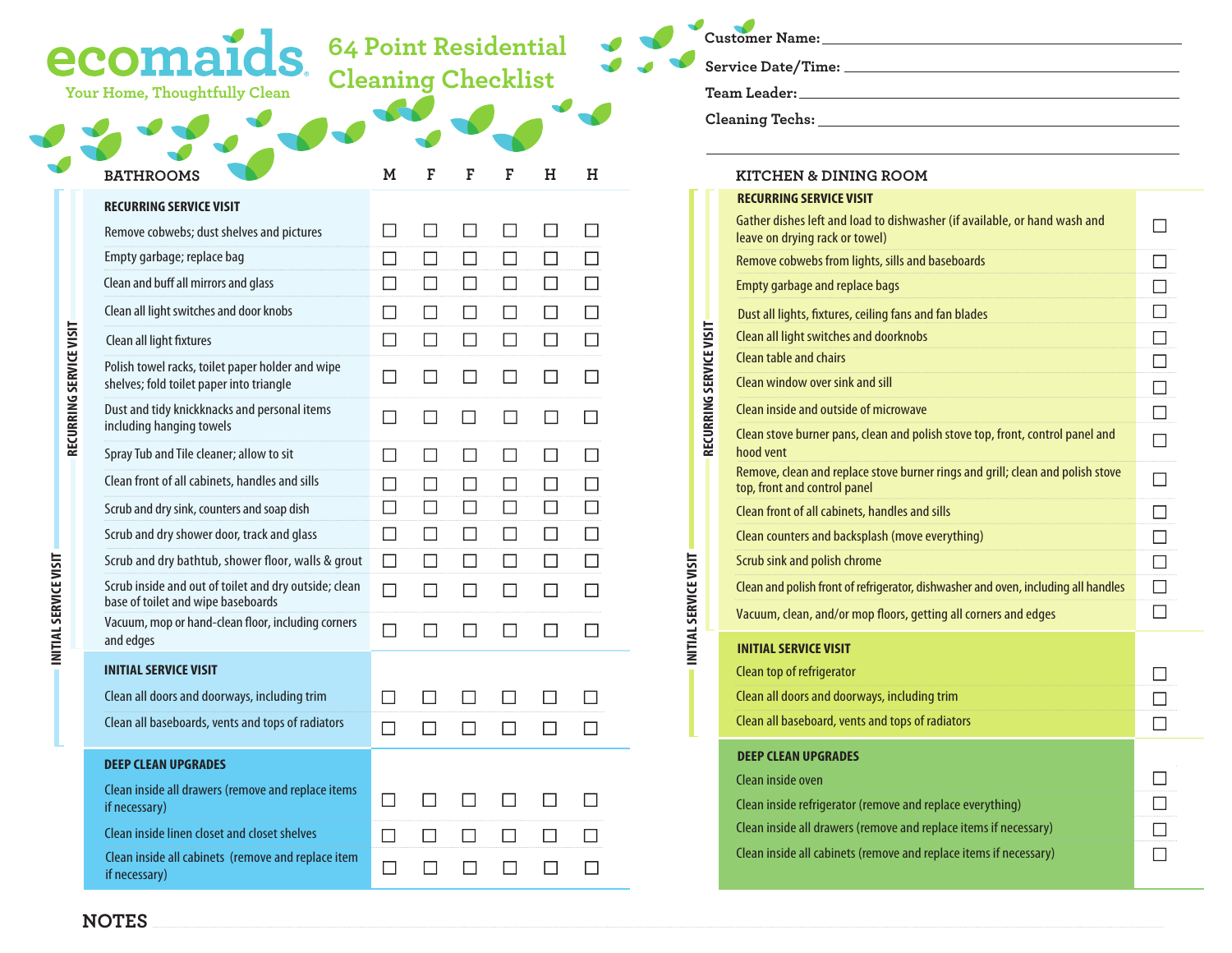|                         | <b>64 Point Residential</b><br>ecomai<br><b>Cleaning Checklist</b><br>Your Home, Thoughtfully Clean |                |        |              |                          |        |        |                         | Customer Name: Names                                                     |
|-------------------------|-----------------------------------------------------------------------------------------------------|----------------|--------|--------------|--------------------------|--------|--------|-------------------------|--------------------------------------------------------------------------|
|                         |                                                                                                     |                |        |              |                          |        |        |                         |                                                                          |
|                         | <b>BATHROOMS</b>                                                                                    | м              | F      | F            | F                        | н      | н      |                         | <b>KITCHEN &amp; DINING ROOM</b><br><b>RECURRING SERVICE VISIT</b>       |
|                         | <b>RECURRING SERVICE VISIT</b><br>Remove cobwebs; dust shelves and pictures                         | D              |        | $\Box$       |                          |        | П      |                         | Gather dishes left and load to dishwas<br>leave on drying rack or towel) |
|                         | Empty garbage; replace bag                                                                          | $\Box$         | $\Box$ | $\Box$       | $\Box$                   | $\Box$ | $\Box$ |                         | Remove cobwebs from lights, sills and                                    |
|                         | Clean and buff all mirrors and glass                                                                | $\Box$         | $\Box$ | $\Box$       | $\Box$                   | $\Box$ | $\Box$ |                         | <b>Empty garbage and replace bags</b>                                    |
|                         | Clean all light switches and door knobs                                                             | $\Box$         | $\Box$ | $\Box$       | $\Box$                   | $\Box$ | $\Box$ |                         | Dust all lights, fixtures, ceiling fans an                               |
|                         | Clean all light fixtures                                                                            | $\Box$         | $\Box$ | $\Box$       | $\Box$                   | $\Box$ | $\Box$ |                         | Clean all light switches and doorknobs                                   |
|                         | Polish towel racks, toilet paper holder and wipe                                                    |                |        |              |                          |        |        |                         | Clean table and chairs                                                   |
|                         | shelves; fold toilet paper into triangle                                                            | $\Box$         | $\Box$ | $\Box$       |                          | $\Box$ | $\Box$ |                         | Clean window over sink and sill                                          |
|                         | Dust and tidy knickknacks and personal items<br>including hanging towels                            | $\Box$         | $\Box$ | $\Box$       | $\Box$                   | $\Box$ | $\Box$ |                         | Clean inside and outside of microwave                                    |
| RECURRING SERVICE VISIT | Spray Tub and Tile cleaner; allow to sit                                                            | $\Box$         | $\Box$ | $\Box$       | $\Box$                   | $\Box$ | $\Box$ | RECURRING SERVICE VISIT | Clean stove burner pans, clean and pol<br>hood vent                      |
|                         | Clean front of all cabinets, handles and sills                                                      | $\Box$         | $\Box$ | $\Box$       | $\Box$                   | $\Box$ | $\Box$ |                         | Remove, clean and replace stove burne<br>top, front and control panel    |
|                         | Scrub and dry sink, counters and soap dish                                                          | $\Box$         | $\Box$ | $\Box$       | $\Box$                   | $\Box$ | $\Box$ |                         | Clean front of all cabinets, handles and                                 |
|                         | Scrub and dry shower door, track and glass                                                          | $\Box$         | $\Box$ | $\Box$       | $\Box$                   | $\Box$ | $\Box$ |                         | Clean counters and backsplash (move                                      |
|                         | Scrub and dry bathtub, shower floor, walls & grout                                                  | $\Box$         | $\Box$ | $\Box$       | $\Box$                   | $\Box$ | $\Box$ |                         | Scrub sink and polish chrome                                             |
| INITIAL SERVICE VISIT   | Scrub inside and out of toilet and dry outside; clean<br>base of toilet and wipe baseboards         | $\Box$         | $\Box$ | П            |                          | $\Box$ | $\Box$ | INITIAL SERVICE VISIT   | Clean and polish front of refrigerator, di                               |
|                         | Vacuum, mop or hand-clean floor, including corners                                                  | $\Box$         | П      | $\Box$       | П                        | $\Box$ | $\Box$ |                         | Vacuum, clean, and/or mop floors, get                                    |
|                         | and edges                                                                                           |                |        |              |                          |        |        |                         | <b>INITIAL SERVICE VISIT</b>                                             |
|                         | <b>INITIAL SERVICE VISIT</b>                                                                        |                |        |              |                          |        |        |                         | Clean top of refrigerator                                                |
|                         | Clean all doors and doorways, including trim                                                        | $\mathbb{R}^n$ |        |              |                          |        |        |                         | Clean all doors and doorways, includin                                   |
|                         | Clean all baseboards, vents and tops of radiators                                                   |                |        |              |                          |        |        |                         | Clean all baseboard, vents and tops of                                   |
|                         | <b>DEEP CLEAN UPGRADES</b>                                                                          |                |        |              |                          |        |        |                         | <b>DEEP CLEAN UPGRADES</b>                                               |
|                         | Clean inside all drawers (remove and replace items<br>if necessary)                                 | $\Box$         | $\Box$ | $\mathsf{L}$ | $\overline{\phantom{a}}$ | $\Box$ | $\Box$ |                         | Clean inside oven<br>Clean inside refrigerator (remove and I             |
|                         | Clean inside linen closet and closet shelves                                                        | $\Box$         | $\Box$ | $\Box$       | $\Box$                   | $\Box$ | ப      |                         | Clean inside all drawers (remove and r                                   |
|                         | Clean inside all cabinets (remove and replace item<br>if necessary)                                 | $\Box$         | $\Box$ | $\Box$       |                          | $\Box$ | $\Box$ |                         | Clean inside all cabinets (remove and r                                  |

| KITCHEN & DINING ROOM                                                                                          |        |
|----------------------------------------------------------------------------------------------------------------|--------|
| <b>RECURRING SERVICE VISIT</b>                                                                                 |        |
| Gather dishes left and load to dishwasher (if available, or hand wash and<br>leave on drying rack or towel)    |        |
| Remove cobwebs from lights, sills and baseboards                                                               |        |
| <b>Empty garbage and replace bags</b>                                                                          | $\Box$ |
| Dust all lights, fixtures, ceiling fans and fan blades                                                         |        |
| Clean all light switches and doorknobs                                                                         |        |
| Clean table and chairs                                                                                         | $\Box$ |
| Clean window over sink and sill                                                                                | $\Box$ |
| Clean inside and outside of microwave                                                                          |        |
| Clean stove burner pans, clean and polish stove top, front, control panel and<br>hood vent                     |        |
| Remove, clean and replace stove burner rings and grill; clean and polish stove<br>top, front and control panel |        |
| Clean front of all cabinets, handles and sills                                                                 |        |
| Clean counters and backsplash (move everything)                                                                |        |
| Scrub sink and polish chrome                                                                                   |        |
| Clean and polish front of refrigerator, dishwasher and oven, including all handles                             | $\Box$ |
| Vacuum, clean, and/or mop floors, getting all corners and edges                                                |        |
| <b>INITIAL SERVICE VISIT</b>                                                                                   |        |
| Clean top of refrigerator                                                                                      |        |
| Clean all doors and doorways, including trim                                                                   |        |
| Clean all baseboard, vents and tops of radiators                                                               |        |
| <b>DEEP CLEAN UPGRADES</b>                                                                                     |        |
| Clean inside oven                                                                                              |        |
| Clean inside refrigerator (remove and replace everything)                                                      |        |
| Clean inside all drawers (remove and replace items if necessary)                                               |        |
| Clean inside all cabinets (remove and replace items if necessary)                                              |        |